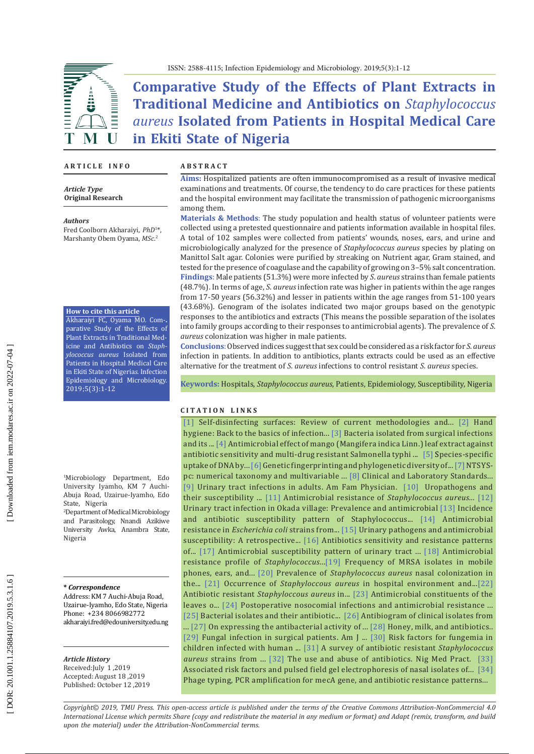

ISSN: 2588-4115; Infection Epidemiology and Microbiology. 2019;5(3):1-12

# **Comparative Study of the Effects of Plant Extracts in Traditional Medicine and Antibiotics on** *Staphylococcus aureus* **Isolated from Patients in Hospital Medical Care in Ekiti State of Nigeria**

## **A R T I C L E I N F O**

M

*Article Type* **Original Research**

*Authors*

 $\overline{\mathbf{I}}$ 

Fred Coolborn Akharaiyi, *PhD* 1 \*, Marshanty Obem Oyama, *MSc* . 2

#### **How to cite this article**

Akharaiyi FC, Oyama MO. Com� **.** parative Study of the Effects of Plant Extracts in Traditional Medicine and Antibiotics on *Staph ylococcus aureus* Isolated from Patients in Hospital Medical Care in Ekiti State of Nigeria*s.* Infection Epidemiology and Microbiology. 2019;5(3):1 -12

1 Microbiology Department, Edo University Iyamho, KM 7 Auchi -Abuja Road, Uzairue-Iyamho, Edo State, Nigeria<br><sup>2</sup>Department of Medical Microbiology

and Parasitology, Nnandi Azikiwe University Awka, Anambra State, Nigeria

### **\*** *Correspondence*

Address: KM 7 Auchi -Abuja Road, Uzairue -Iyamho, Edo State, Nigeria Phone: +234 8066982772 [akharaiyi.fred@edouniversity.edu.ng](mailto:akharaiyi.fred@edouniversity.edu.ng)

*Article History* Received:July 1 ,2019 Accepted: August 18 ,2019 Published: October 12 ,2019

#### **A B S T R A C T**

**Aims:** Hospitalized patients are often immunocompromised as a result of invasive medical examinations and treatments. Of course, the tendency to do care practices for these patients and the hospital environment may facilitate the transmission of pathogenic microorganisms among them.

**Materials & Methods** : The study population and health status of volunteer patients were collected using a pretested questionnaire and patients information available in hospital files. A total of 102 samples were collected from patients' wounds, noses, ears, and urine and microbiologically analyzed for the presence of *Staphylococcus aureus* species by plating on Manittol Salt agar. Colonies were purified by streaking on Nutrient agar, Gram stained, and tested for the presence of coagulase and the capability of growing on 3–5% salt concentration. **Findings**: Male patients (51.3%) were more infected by *S*. *aureus* strains than female patients (48.7%). In terms of age, *S*. *aureus* infection rate was higher in patients within the age ranges from 17 -50 years (56.32%) and lesser in patients within the age ranges from 51 -100 years (43.68%). Genogram of the isolates indicated two major groups based on the genotypic responses to the antibiotics and extracts (This means the possible separation of the isolates into family groups according to their responses to antimicrobial agents). The prevalence of *S*. *aureus* colonization was higher in male patients.

**Conclusions** : Observed indices suggest that sex could be considered as a risk factor for *S*. *aureus* infection in patients. In addition to antibiotics, plants extracts could be used as an effective alternative for the treatment of *S* . *aureus* infections to control resistant *S*. *aureus* species.

**Keywords:** Hospitals, *Staphylococcus aureus*, Patients, Epidemiology, Susceptibility, Nigeria

## **C I T A T I O N L I N K S**

[\[1\]](https://www.ajicjournal.org/article/S0196-6553\(13\)00011-4/fulltext) Self -disinfecting surfaces: Review of current methodologies and... [\[2\]](https://www.ncbi.nlm.nih.gov/pmc/articles/PMC3249958/) Hand hygiene: Back to the basics of infection... [\[3\]](https://www.ncbi.nlm.nih.gov/pubmed/25549405) Bacteria isolated from surgical infections and its ... [\[4\]](https://www.ncbi.nlm.nih.gov/pubmed/23811447) Antimicrobial effect of mango (Mangifera indica Linn.) leaf extract against antibiotic sensitivity and multi -drug resistant Salmonella typhi ... [\[5\]](https://www.ncbi.nlm.nih.gov/pubmed/1904861) Species -specific uptake of DNA by... [\[6\]](https://www.ajol.info/index.php/ajb/article/view/14776) Genetic fingerprinting and phylogenetic diversity of... [\[7\]](https://www.exetersoftware.com/downloads/ntsysguide21.pdf) NTSYSpc: numerical taxonomy and multivariable ... [\[8\]](http://zums.ac.ir/files/health/pages/ill/azmayeshghah/clsi_2013.pdf) Clinical and Laboratory Standards... [\[9\]](https://www.ncbi.nlm.nih.gov/pubmed/10088877) Urinary tract infections in adults. Am Fam Physician. [\[10\]](https://www.jpma.org.pk/PdfDownload/2517.pdf) Uropathogens and their susceptibility ... [\[11\]](https://www.ncbi.nlm.nih.gov/pubmed/22923965) Antimicrobial resistance of *Staphylococcus aureus...* [\[12\]](https://core.ac.uk/download/pdf/32224468.pdf) Urinary tract infection in Okada village: Prevalence and antimicrobial [\[13\]](https://www.ajol.info/index.php/ajb/article/view/58749) Incidence and antibiotic susceptibility pattern of Staphylococcus... [\[14\]](https://www.ncbi.nlm.nih.gov/pubmed/20070015) Antimicrobial resistance in *Escherichia coli* strains from... [\[15\]](https://scholar.google.com/scholar?hl=en&as_sdt=0%2C5&q=Akerele+J%2C+Akonkhai+I%2C+Isah+A.+Urinary+pathogens+and+antimicrobial+susceptibility%3A+A+retrospective+study+of+private+diagnostic+laboratories+in+Benin+City%2C+Nigeria.+J+Med+Lab+Sci.+2000%3B+9%3A\
47%E2%80%9352&btnG=) Urinary pathogens and antimicrobial susceptibility: A retrospective... [\[16\]](http://citeseerx.ist.psu.edu/viewdoc/download?doi=10.1.1.551.2343&rep=rep1&type=pdf) Antibiotics sensitivity and resistance patterns of... [\[17\]](https://pdfs.semanticscholar.org/a681/798d03633d9f354729d89a1289c76452a2aa.pdf) Antimicrobial susceptibility pattern of urinary tract ... [\[18\]](https://www.ncbi.nlm.nih.gov/pubmed/28506250) Antimicrobial resistance profile of *Staphylococcus*...[\[19\]](https://www.omicsonline.org/open-access/frequency-of-mrsa-isolates-in-mobile-phones-ears-and-hands-of-healthcare-workers-2472-1212-1000161-98627.html) Frequency of MRSA isolates in mobile phones, ears, and... [\[20\]](https://www.ncbi.nlm.nih.gov/pubmed/16362880) Prevalence of *Staphylococcus aureus* nasal colonization in the... [\[21\]](https://scholar.google.com/scholar?hl=en&as_sdt=0%2C5&q=Occurrence+of+Staphyloccous+aureus+in+hospital+environment+and+staffs+in+teaching+hospital+in+Katmandu%2C+Nepal&btnG=) Occurrence of *Staphyloccous aureus* in hospital environment and...[\[22\]](https://www.ajol.info/index.php/ajb/article/view/14856) Antibiotic resistant *Staphyloccous aureus* in... [\[23\]](https://www.ncbi.nlm.nih.gov/pubmed/10925407) Antimicrobial constituents of the leaves o... [\[24\]](https://www.ncbi.nlm.nih.gov/pubmed/22984327) Postoperative nosocomial infections and antimicrobial resistance ... [\[25\]](https://www.ncbi.nlm.nih.gov/pmc/articles/PMC4167130/) Bacterial isolates and their antibiotic... [\[26\]](https://www.ajol.info/index.php/ajb/article/view/59590) Antibiogram of clinical isolates from ...  $[27]$  On expressing the antibacterial activity of ...  $[28]$  Honey, milk, and antibiotics.. [\[29\]](https://www.ncbi.nlm.nih.gov/pubmed/8615478) Fungal infection in surgical patients. Am J ... [\[30\]](https://www.ncbi.nlm.nih.gov/pubmed/8991477) Risk factors for fungemia in children infected with human ... [\[31\]](https://tspace.library.utoronto.ca/handle/1807/2614) A survey of antibiotic resistant *Staphylococcus aureus* strains from ... [\[32\]](https://scholar.google.com/scholar?hl=en&as_sdt=0%2C5&q=Odugbemi+T.+Use+and+Abuse+of+Antibiotics.+Nig+Med+Pract.+1981%3B+1%281%29%3A4%E2%80%938.&btnG=) The use and abuse of antibiotics. Nig Med Pract *.* [\[33\]](https://www.ncbi.nlm.nih.gov/pubmed/17625730) Associated risk factors and pulsed field gel electrophoresis of nasal isolates of... [\[34\]](https://www.ncbi.nlm.nih.gov/pubmed/23961041) Phage typing, PCR amplification for mecA gene, and antibiotic resistance patterns...

*Copyright© 2019, TMU Press. This open-access article is published under the terms of the Creative Commons Attribution-NonCommercial 4.0 International License which permits Share (copy and redistribute the material in any medium or format) and Adapt (remix, transform, and build upon the material) under the Attribution-NonCommercial terms.*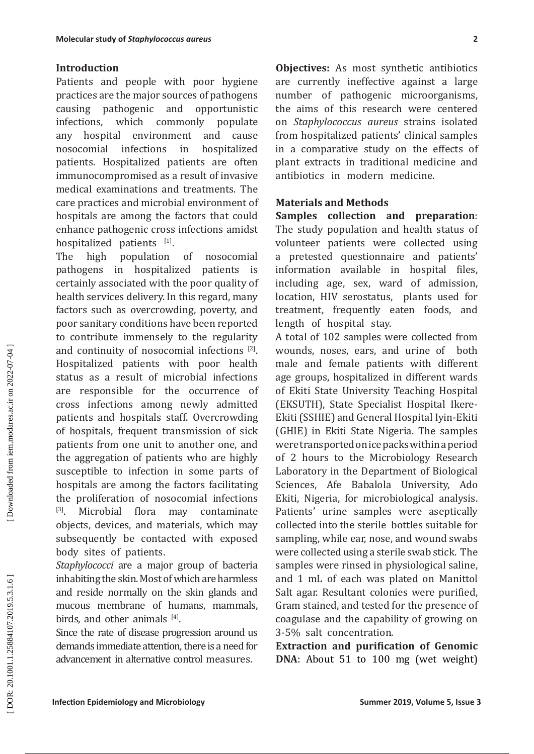## **Introduction**

Patients and people with poor hygiene practices are the major sources of pathogens causing pathogenic and opportunistic<br>infections, which commonly populate ions, which commonly<br>hospital environment  $\varepsilon$ any hospital environment and cause nosocomial infections in hospitalized patients. Hospitalized patients are often immunocompromised as a result of invasive medical examinations and treatments. The care practices and microbial environment of hospitals are among the factors that could enhance pathogenic cross infections amidst hospitalized patients <sup>[1]</sup>.

**Infection and the state of Sumplex controller (and the state of Summer 2019) and the state of the state of the state of the state of the state of the state of the state of the state of the state of the state of the state** The high population of nosocomial<br>pathogens in hospitalized patients is pathogens in hospitalized patients is certainly associated with the poor quality of health services delivery. In this regard, many factors such as overcrowding, poverty, and poor sanitary conditions have been reported to contribute immensely to the regularity and continuity of nosocomial infections [2]. Hospitalized patients with poor health status as a result of microbial infections are responsible for the occurrence of cross infections among newly admitted patients and hospitals staff. Overcrowding of hospitals, frequent transmission of sick patients from one unit to another one, and the aggregation of patients who are highly susceptible to infection in some parts of hospitals are among the factors facilitating the proliferation of nosocomial infections<br><sup>[3]</sup> Microbial flora may contaminate Microbial flora may contaminate objects, devices, and materials, which may subsequently be contacted with exposed body sites of patients.

*Staphylococci* are a major group of bacteria inhabiting the skin. Most of which are harmless and reside normally on the skin glands and mucous membrane of humans, mammals, birds, and other animals [4].

Since the rate of disease progression around us demands immediate attention, there is a need for advancement in alternative control measures.

**Objectives:** As most synthetic antibiotics are currently ineffective against a large number of pathogenic microorganisms, the aims of this research were centered on *Staphylococcus aureus* strains isolated from hospitalized patients' clinical samples in a comparative study on the effects of plant extracts in traditional medicine and antibiotics in modern medicine.

# **Materials and Methods**

**Samples collection and preparation**: The study population and health status of volunteer patients were collected using a pretested questionnaire and patients' information available in hospital files, including age, sex, ward of admission, location, HIV serostatus, plants used for treatment, frequently eaten foods, and length of hospital stay.

A total of 102 samples were collected from wounds, noses, ears, and urine of both male and female patients with different age groups, hospitalized in different wards of Ekiti State University Teaching Hospital (EKSUTH), State Specialist Hospital Ikere -Ekiti (SSHIE) and General Hospital Iyin-Ekiti (GHIE) in Ekiti State Nigeria. The samples were transported on ice packs within a period of 2 hours to the Microbiology Research Laboratory in the Department of Biological Sciences, Afe Babalola University, Ado Ekiti, Nigeria, for microbiological analysis. Patients' urine samples were aseptically collected into the sterile bottles suitable for sampling, while ear, nose, and wound swabs were collected using a sterile swab stick. The samples were rinsed in physiological saline, and 1 mL of each was plated on Manittol Salt agar. Resultant colonies were purified, Gram stained, and tested for the presence of coagulase and the capability of growing on 3-5% salt concentration.

**Extraction and purification of Genomic DNA**: About 51 to 100 mg (wet weight)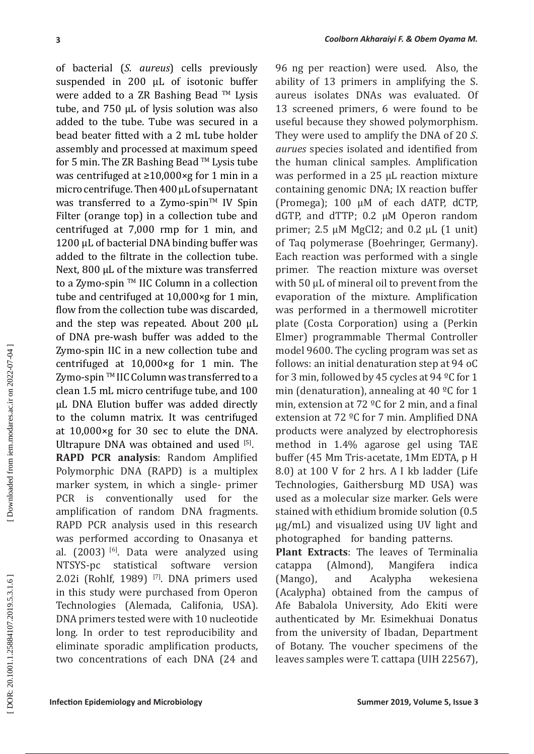**ICON CONSERVATIVES** CONSERVATE CONSERVATIVES (SUPPROVID) and MICROSIC (In the set of A state of the set of the set of the set of the set of the set of the set of the set of the set of the set of the set of the set of the of bacterial (*S. aureus*) cells previously suspended in 200 µL of isotonic buffer were added to a ZR Bashing Bead ™ Lysis tube, and 750 µL of lysis solution was also added to the tube. Tube was secured in a bead beater fitted with a 2 mL tube holder assembly and processed at maximum speed for 5 min. The ZR Bashing Bead ™ Lysis tube was centrifuged at ≥10,000×g for 1 min in a micro centrifuge. Then 400 µL of supernatant was transferred to a Zymo-spin $TM$  IV Spin Filter (orange top) in a collection tube and centrifuged at 7,000 rmp for 1 min, and 1200 µL of bacterial DNA binding buffer was added to the filtrate in the collection tube. Next, 800 µL of the mixture was transferred to a Zymo-spin ™ IIC Column in a collection tube and centrifuged at 10,000×g for 1 min, flow from the collection tube was discarded, and the step was repeated. About 200 µL of DNA pre -wash buffer was added to the Zymo -spin IIC in a new collection tube and centrifuged at 10,000×g for 1 min. The Zymo-spin ™ IIC Column was transferred to a clean 1.5 mL micro centrifuge tube, and 100 µL DNA Elution buffer was added directly to the column matrix. It was centrifuged at 10,000×g for 30 sec to elute the DNA. Ultrapure DNA was obtained and used  $[5]$ . **RAPD PCR analysis**: Random Amplified Polymorphic DNA (RAPD) is a multiplex marker system, in which a single - primer PCR is conventionally used for the amplification of random DNA fragments. RAPD PCR analysis used in this research was performed according to Onasanya et al.  $(2003)$ <sup>[6]</sup>. Data were analyzed using NTSYS-pc statistical software version 2.02i (Rohlf, 1989)<sup>[7]</sup>. DNA primers used in this study were purchased from Operon Technologies (Alemada, Califonia, USA). DNA primers tested were with 10 nucleotide long. In order to test reproducibility and eliminate sporadic amplification products, two concentrations of each DNA (24 and

96 ng per reaction) were used. Also, the ability of 13 primers in amplifying the S. aureus isolates DNAs was evaluated. Of 13 screened primers, 6 were found to be useful because they showed polymorphism. They were used to amplify the DNA of 20 *S*. *aurues* species isolated and identified from the human clinical samples. Amplification was performed in a 25 µL reaction mixture containing genomic DNA; IX reaction buffer (Promega); 100 µM of each dATP, dCTP, dGTP, and dTTP; 0.2 µM Operon random primer; 2.5 µM MgCl2; and 0.2 μL (1 unit) of Taq polymerase (Boehringer, Germany). Each reaction was performed with a single primer. The reaction mixture was overset with 50 µL of mineral oil to prevent from the evaporation of the mixture. Amplification was performed in a thermowell microtiter plate (Costa Corporation) using a (Perkin Elmer) programmable Thermal Controller model 9600. The cycling program was set as follows: an initial denaturation step at 94 oC for 3 min, followed by 45 cycles at 94 ºC for 1 min (denaturation), annealing at 40 ºC for 1 min, extension at 72 ºC for 2 min, and a final extension at 72 ºC for 7 min. Amplified DNA products were analyzed by electrophoresis method in 1.4% agarose gel using TAE buffer (45 Mm Tris -acetate, 1Mm EDTA, p H 8.0) at 100 V for 2 hrs. A I kb ladder (Life Technologies, Gaithersburg MD USA) was used as a molecular size marker. Gels were stained with ethidium bromide solution (0.5 µg/mL) and visualized using UV light and photographed for banding patterns.

**Plant Extracts**: The leaves of Terminalia catappa (Almond), Mangifera indica (Mango), and Acalypha wekesiena (Acalypha) obtained from the campus of Afe Babalola University, Ado Ekiti were authenticated by Mr. Esimekhuai Donatus from the university of Ibadan, Department of Botany. The voucher specimens of the leaves samples were T. cattapa (UIH 22567),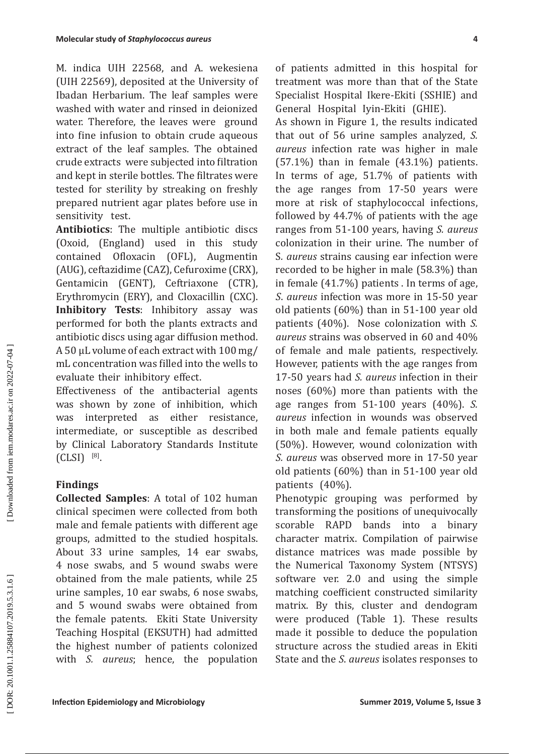M. indica UIH 22568, and A. wekesiena (UIH 22569), deposited at the University of Ibadan Herbarium. The leaf samples were washed with water and rinsed in deionized water. Therefore, the leaves were ground into fine infusion to obtain crude aqueous extract of the leaf samples. The obtained crude extracts were subjected into filtration and kept in sterile bottles. The filtrates were tested for sterility by streaking on freshly prepared nutrient agar plates before use in sensitivity test.

**Antibiotics**: The multiple antibiotic discs (Oxoid, (England) used in this study contained Ofloxacin (OFL), Augmentin (AUG), ceftazidime (CAZ), Cefuroxime (CRX), Gentamicin (GENT), Ceftriaxone (CTR), Erythromycin (ERY), and Cloxacillin (CXC). **Inhibitory Tests**: Inhibitory assay was performed for both the plants extracts and antibiotic discs using agar diffusion method. A 50 µL volume of each extract with 100 mg/ mL concentration was filled into the wells to evaluate their inhibitory effect.

Effectiveness of the antibacterial agents was shown by zone of inhibition, which was interpreted as either resistance, intermediate, or susceptible as described by Clinical Laboratory Standards Institute  $(CLSI)^{ [8]}$ .

# **Findings**

**Collected Samples**: A total of 102 human clinical specimen were collected from both male and female patients with different age groups, admitted to the studied hospitals. About 33 urine samples, 14 ear swabs, 4 nose swabs, and 5 wound swabs were obtained from the male patients, while 25 urine samples, 10 ear swabs, 6 nose swabs, and 5 wound swabs were obtained from the female patents. Ekiti State University Teaching Hospital (EKSUTH) had admitted the highest number of patients colonized with *S. aureus*; hence, the population of patients admitted in this hospital for treatment was more than that of the State Specialist Hospital Ikere -Ekiti (SSHIE) and General Hospital Iyin -Ekiti (GHIE).

**INterair study of Staphylicics can** are<br> **IV.** initia (1) IH 225603, and A. velocistical of packing to the state<br>
UIIII 225603, and A. velocistical toppilal likewing to the state<br>
UIIII 226603, deposited at the Uitarcrist As shown in Figure 1, the results indicated that out of 56 urine samples analyzed, *S. aureus* infection rate was higher in male  $(57.1\%)$  than in female  $(43.1\%)$  patients. In terms of age, 51.7% of patients with the age ranges from 17 -50 years were more at risk of staphylococcal infections, followed by 44.7% of patients with the age ranges from 51 -100 years, having *S. aureus* colonization in their urine. The number of S*. aureus* strains causing ear infection were recorded to be higher in male (58.3%) than in female (41.7%) patients . In terms of age, *S*. *aureus* infection was more in 15-50 year old patients (60%) than in 51 -100 year old patients (40%). Nose colonization with *S. aureus* strains was observed in 60 and 40% of female and male patients, respectively. However, patients with the age ranges from 17 -50 years had *S. aureus* infection in their noses (60%) more than patients with the age ranges from 51 -100 years (40%). *S. aureus* infection in wounds was observed in both male and female patients equally (50%). However, wound colonization with *S. aureus* was observed more in 17 -50 year old patients (60%) than in 51 -100 year old patients (40%).

Phenotypic grouping was performed by transforming the positions of unequivocally scorable RAPD bands into a binary character matrix. Compilation of pairwise distance matrices was made possible by the Numerical Taxonomy System (NTSYS) software ver. 2.0 and using the simple matching coefficient constructed similarity matrix. By this, cluster and dendogram were produced (Table 1). These results made it possible to deduce the population structure across the studied areas in Ekiti State and the *S*. *aureus* isolates responses to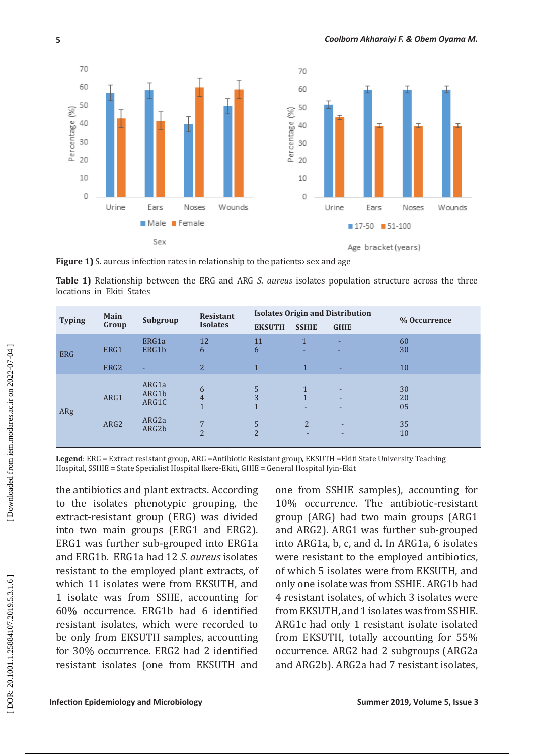

**Figure 1)** S. aureus infection rates in relationship to the patients sex and age

**Table 1)** Relationship between the ERG and ARG *S*. *aureus* isolates population structure across the three locations in Ekiti States

| <b>Typing</b> | Main<br>Group | Subgroup                                              | <b>Resistant</b><br><b>Isolates</b>                     | <b>Isolates Origin and Distribution</b> |                                          |                                         |                            |
|---------------|---------------|-------------------------------------------------------|---------------------------------------------------------|-----------------------------------------|------------------------------------------|-----------------------------------------|----------------------------|
|               |               |                                                       |                                                         | <b>EKSUTH</b>                           | <b>SSHIE</b>                             | <b>GHIE</b>                             | % Occurrence               |
| <b>ERG</b>    | ERG1          | ERG1a<br>ERG1b                                        | 12<br>6                                                 | 11<br>6                                 |                                          | ٠                                       | 60<br>30                   |
|               | ERG2          | ٠                                                     | 2                                                       | $\mathbf{1}$                            | $\mathbf{1}$                             | ۰.                                      | 10                         |
| ARg           | ARG1<br>ARG2  | ARG1a<br>ARG1b<br>ARG1C<br>ARG <sub>2a</sub><br>ARG2b | 6<br>$\overline{4}$<br>$\overline{7}$<br>$\overline{2}$ | 5<br>3<br>5<br>$\mathbf{\Omega}$        | $\mathbf{1}$<br>٠<br>$\overline{2}$<br>۰ | ٠<br>$\overline{\phantom{a}}$<br>٠<br>٠ | 30<br>20<br>05<br>35<br>10 |

**Legend**: ERG = Extract resistant group, ARG =Antibiotic Resistant group, EKSUTH =Ekiti State University Teaching Hospital, SSHIE = State Specialist Hospital Ikere -Ekiti, GHIE = General Hospital Iyin -Ekit

the antibiotics and plant extracts. According to the isolates phenotypic grouping, the extract -resistant group (ERG) was divided into two main groups (ERG1 and ERG2). ERG1 was further sub -grouped into ERG1a and ERG1b. ERG1a had 12 *S*. *aureus* isolates resistant to the employed plant extracts, of which 11 isolates were from EKSUTH, and 1 isolate was from SSHE, accounting for 60% occurrence. ERG1b had 6 identified resistant isolates, which were recorded to be only from EKSUTH samples, accounting for 30% occurrence. ERG2 had 2 identified resistant isolates (one from EKSUTH and

one from SSHIE samples), accounting for 10% occurrence. The antibiotic -resistant group (ARG) had two main groups (ARG1 and ARG2). ARG1 was further sub -grouped into ARG1a, b, c, and d. In ARG1a, 6 isolates were resistant to the employed antibiotics, of which 5 isolates were from EKSUTH, and only one isolate was from SSHIE. ARG1b had 4 resistant isolates, of which 3 isolates were from EKSUTH, and 1 isolates was from SSHIE. ARG1c had only 1 resistant isolate isolated from EKSUTH, totally accounting for 55% occurrence. ARG2 had 2 subgroups (ARG2a and ARG2b). ARG2a had 7 resistant isolates,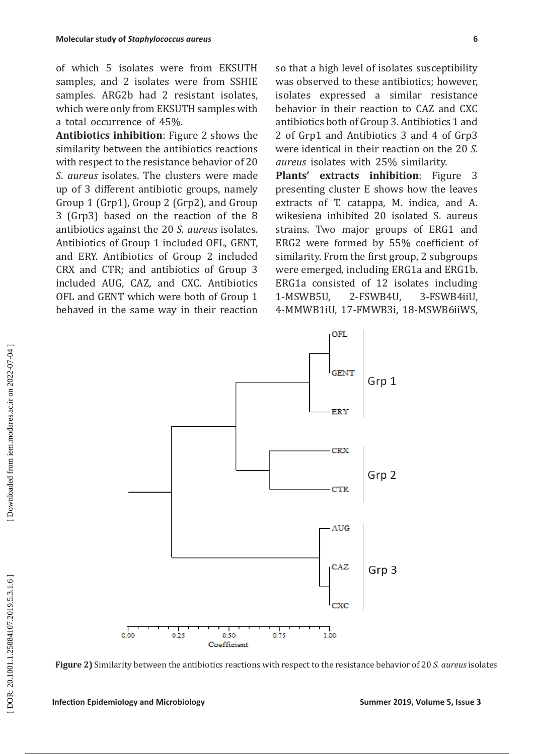of which 5 isolates were from EKSUTH samples, and 2 isolates were from SSHIE samples. ARG2b had 2 resistant isolates, which were only from EKSUTH samples with a total occurrence of 45%.

**Antibiotics inhibition**: Figure 2 shows the similarity between the antibiotics reactions with respect to the resistance behavior of 20 *S*. *aureus* isolates. The clusters were made up of 3 different antibiotic groups, namely Group 1 (Grp1), Group 2 (Grp2), and Group 3 (Grp3) based on the reaction of the 8 antibiotics against the 20 *S. aureus* isolates. Antibiotics of Group 1 included OFL, GENT, and ERY. Antibiotics of Group 2 included CRX and CTR; and antibiotics of Group 3 included AUG, CAZ, and CXC. Antibiotics OFL and GENT which were both of Group 1 behaved in the same way in their reaction so that a high level of isolates susceptibility was observed to these antibiotics; however, isolates expressed a similar resistance behavior in their reaction to CAZ and CXC antibiotics both of Group 3. Antibiotics 1 and 2 of Grp1 and Antibiotics 3 and 4 of Grp3 were identical in their reaction on the 20 *S. aureus* isolates with 25% similarity.

**Plants' extracts inhibition**: Figure 3 presenting cluster E shows how the leaves extracts of T. catappa, M. indica, and A. wikesiena inhibited 20 isolated S. aureus strains. Two major groups of ERG1 and ERG2 were formed by 55% coefficient of similarity. From the first group, 2 subgroups were emerged, including ERG1a and ERG1b.<br>ERG1a consisted of 12 isolates including 1-MSWB5U, 2-FSWB4U, 3-FSWB4iiU, 4-MMWB1iU, 17-FMWB3i, 18-MSWB6iiWS,



**Figure 2)** Similarity between the antibiotics reactions with respect to the resistance behavior of 20 *S. aureus* isolates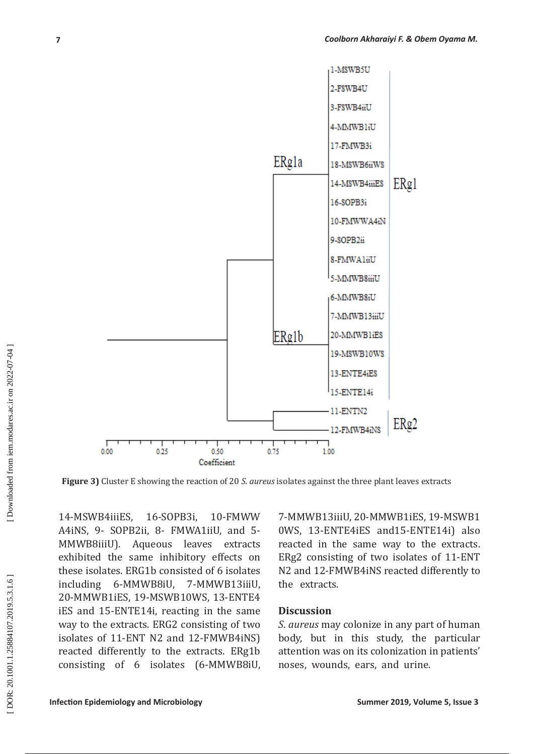

 **Figure 3)** Cluster E showing the reaction of 20 *S. aureus* isolates against the three plant leaves extracts

14 -MSWB4iiiES, 16 16-SOPB3i, -FMWW A4iNS, 9 - SOPB2ii, 8 - FMWA1iiU, and 5 -MMWB8iiiU). Aqueous leaves extracts exhibited the same inhibitory effects on these isolates. ERG1b consisted of 6 isolates including 6 6-MMWB8iU, -MMWB13iiiU, 20 -MMWB1iES, 19 -MSWB10WS, 13 -ENTE4 iES and 15 -ENTE14i, reacting in the same way to the extracts. ERG2 consisting of two isolates of 11 -ENT N2 and 12 -FMWB4iNS) reacted differently to the extracts. ERg1b consisting of 6 isolates (6 -MMWB8iU,

7 -MMWB13iiiU, 20 -MMWB1iES, 19 -MSWB1 0WS, 13 -ENTE4iES and15 -ENTE14i) also reacted in the same way to the extracts. ERg2 consisting of two isolates of 11 -ENT N2 and 12 -FMWB4iNS reacted differently to the extracts.

## **Discussion**

*S*. *aureus* may colonize in any part of human body, but in this study, the particular attention was on its colonization in patients' noses, wounds, ears, and urine.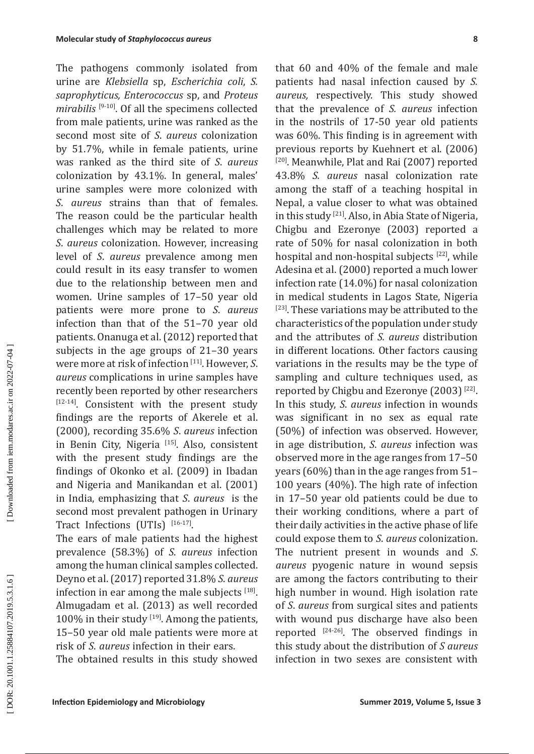The pathogens commonly isolated from urine are *Klebsiella* sp, *Escherichia coli*, *S. saprophyticus, Enterococcus* sp, and *Proteus mirabilis* [9 -10]. Of all the specimens collected from male patients, urine was ranked as the second most site of *S*. *aureus* colonization by 51.7%, while in female patients, urine was ranked as the third site of *S*. *aureus* colonization by 43.1%. In general, males' urine samples were more colonized with *S*. *aureus* strains than that of females. The reason could be the particular health challenges which may be related to more *S*. *aureus* colonization. However, increasing level of *S*. *aureus* prevalence among men could result in its easy transfer to women due to the relationship between men and women. Urine samples of 17–50 year old patients were more prone to *S*. *aureus* infection than that of the 51–70 year old patients. Onanuga et al. (2012) reported that subjects in the age groups of 21–30 years were more at risk of infection [11]. However, *S*. *aureus* complications in urine samples have recently been reported by other researchers  $[12-14]$ . Consistent with the present study findings are the reports of Akerele et al. (2000), recording 35.6% *S*. *aureus* infection in Benin City, Nigeria<sup>[15]</sup>. Also, consistent with the present study findings are the findings of Okonko et al. (2009) in Ibadan and Nigeria and Manikandan et al. (2001) in India, emphasizing that *S*. *aureus* is the second most prevalent pathogen in Urinary Tract Infections (UTIs)  $[16-17]$ .

The ears of male patients had the highest prevalence (58.3%) of *S*. *aureus* infection among the human clinical samples collected. Deyno et al. (2017) reported 31.8% *S*. *aureus* infection in ear among the male subjects  $[18]$ . Almugadam et al. (2013) as well recorded 100% in their study [19]. Among the patients, 15–50 year old male patients were more at risk of *S*. *aureus* infection in their ears.

The obtained results in this study showed

**INSECUTE THE pathodoxical areas Infection** Context and the second that the second by  $\Delta$  and the previous of the second by  $\Delta$  and  $\Delta$  areas in Frederic Contexts and Frederic Contexts and Frederic Contexts and Frede that 60 and 40% of the female and male patients had nasal infection caused by *S. aureus,* respectively. This study showed that the prevalence of *S. aureus* infection in the nostrils of 17 -50 year old patients was 60%. This finding is in agreement with previous reports by Kuehnert et al. (2006) [20]. Meanwhile, Plat and Rai (2007) reported 43.8% *S. aureus* nasal colonization rate among the staff of a teaching hospital in Nepal, a value closer to what was obtained in this study [21]. Also, in Abia State of Nigeria, Chigbu and Ezeronye (2003) reported a rate of 50% for nasal colonization in both hospital and non-hospital subjects [22], while Adesina et al. (2000) reported a much lower infection rate (14.0%) for nasal colonization in medical students in Lagos State, Nigeria [23]. These variations may be attributed to the characteristics of the population under study and the attributes of *S. aureus* distribution in different locations. Other factors causing variations in the results may be the type of sampling and culture techniques used, as reported by Chigbu and Ezeronye (2003) [22]. In this study, *S*. *aureus* infection in wounds was significant in no sex as equal rate (50%) of infection was observed. However, in age distribution, *S*. *aureus* infection was observed more in the age ranges from 17–50 years (60%) than in the age ranges from 51– 100 years (40%). The high rate of infection in 17–50 year old patients could be due to their working conditions, where a part of their daily activities in the active phase of life could expose them to *S*. *aureus* colonization. The nutrient present in wounds and *S*. *aureus* pyogenic nature in wound sepsis are among the factors contributing to their high number in wound. High isolation rate of *S*. *aureus* from surgical sites and patients with wound pus discharge have also been reported  $[24-26]$ . The observed findings in this study about the distribution of *S aureus* infection in two sexes are consistent with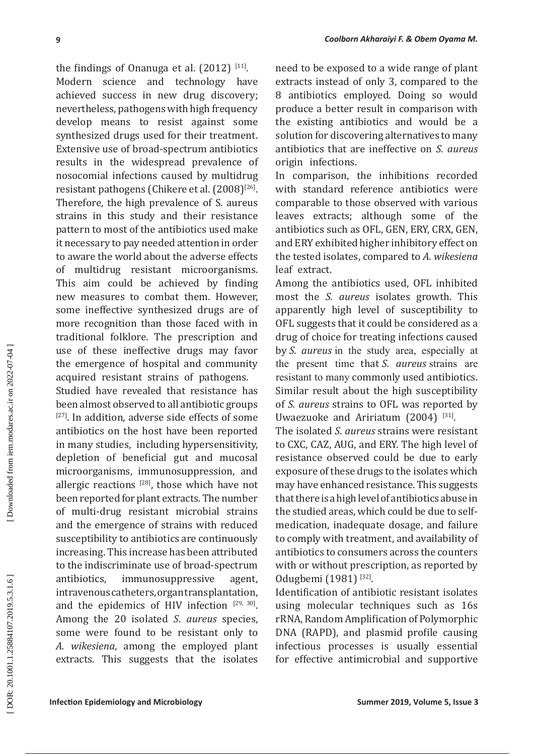**I** conterval about the anti-minimal conterval about the space of the conterporation of the conterporation and the conterporation of the space of the space of the space of the space of the space of the space of the space o the findings of Onanuga et al.  $(2012)^{\lfloor |11|}$ . Modern science and technology have achieved success in new drug discovery; nevertheless, pathogens with high frequency develop means to resist against some synthesized drugs used for their treatment. Extensive use of broad -spectrum antibiotics results in the widespread prevalence of nosocomial infections caused by multidrug resistant pathogens (Chikere et al. (2008)<sup>[26]</sup>. Therefore, the high prevalence of S. aureus strains in this study and their resistance pattern to most of the antibiotics used make it necessary to pay needed attention in order to aware the world about the adverse effects of multidrug resistant microorganisms. This aim could be achieved by finding new measures to combat them. However, some ineffective synthesized drugs are of more recognition than those faced with in traditional folklore. The prescription and use of these ineffective drugs may favor the emergence of hospital and community acquired resistant strains of pathogens.

Studied have revealed that resistance has been almost observed to all antibiotic groups [27]. In addition, adverse side effects of some antibiotics on the host have been reported in many studies, including hypersensitivity, depletion of beneficial gut and mucosal microorganisms, immunosuppression, and allergic reactions  $[28]$ , those which have not been reported for plant extracts. The number of multi -drug resistant microbial strains and the emergence of strains with reduced susceptibility to antibiotics are continuously increasing. This increase has been attributed to the indiscriminate use of broad -spectrum antibiotics, immunosuppressive agent, intravenous catheters, organ transplantation, and the epidemics of HIV infection  $[29, 30]$ . Among the 20 isolated *S*. *aureus* species, some were found to be resistant only to *A. wikesiena*, among the employed plant extracts. This suggests that the isolates

need to be exposed to a wide range of plant extracts instead of only 3, compared to the 8 antibiotics employed. Doing so would produce a better result in comparison with the existing antibiotics and would be a solution for discovering alternatives to many antibiotics that are ineffective on *S*. *aureus* origin infections.

In comparison, the inhibitions recorded with standard reference antibiotics were comparable to those observed with various leaves extracts; although some of the antibiotics such as OFL, GEN, ERY, CRX, GEN, and ERY exhibited higher inhibitory effect on the tested isolates, compared to *A. wikesiena* leaf extract.

Among the antibiotics used, OFL inhibited most the *S. aureus* isolates growth. This apparently high level of susceptibility to OFL suggests that it could be considered as a drug of choice for treating infections caused by *S. aureus* in the study area, especially at the present time that *S. aureus* strains are resistant to many commonly used antibiotics. Similar result about the high susceptibility of *S. aureus* strains to OFL was reported by Uwaezuoke and Aririatum  $(2004)^{\frac{[31]}{[31]}}$ .

The isolated *S*. *aureus* strains were resistant to CXC, CAZ, AUG, and ERY. The high level of resistance observed could be due to early exposure of these drugs to the isolates which may have enhanced resistance. This suggests that there is a high level of antibiotics abuse in the studied areas, which could be due to selfmedication, inadequate dosage, and failure to comply with treatment, and availability of antibiotics to consumers across the counters with or without prescription, as reported by Odugbemi (1981)<sup>[32]</sup>.

Identification of antibiotic resistant isolates using molecular techniques such as 16s rRNA, Random Amplification of Polymorphic DNA (RAPD), and plasmid profile causing infectious processes is usually essential for effective antimicrobial and supportive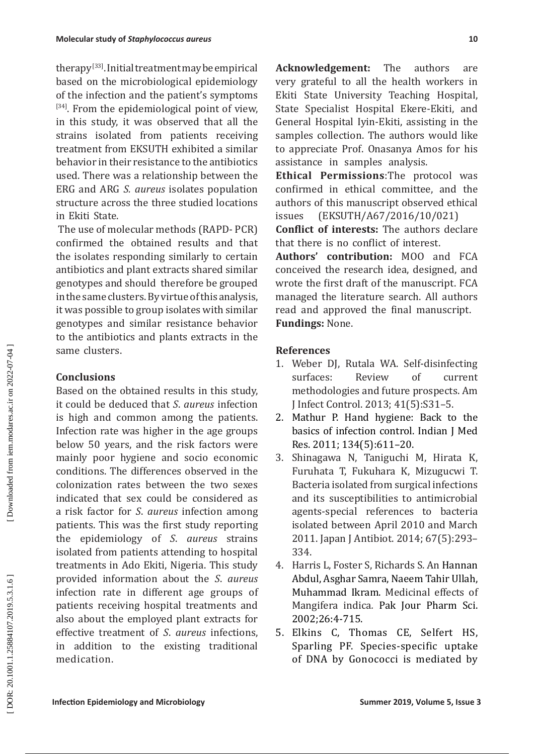therapy [33]. Initial treatment may be empirical based on the microbiological epidemiology of the infection and the patient's symptoms [34]. From the epidemiological point of view, in this study, it was observed that all the strains isolated from patients receiving treatment from EKSUTH exhibited a similar behavior in their resistance to the antibiotics used. There was a relationship between the ERG and ARG *S. aureus* isolates population structure across the three studied locations in Ekiti State.

 The use of molecular methods (RAPD - PCR) confirmed the obtained results and that the isolates responding similarly to certain antibiotics and plant extracts shared similar genotypes and should therefore be grouped in the same clusters. By virtue of this analysis, it was possible to group isolates with similar genotypes and similar resistance behavior to the antibiotics and plants extracts in the same clusters.

# **Conclusions**

Based on the obtained results in this study, it could be deduced that *S* . *aureus* infection is high and common among the patients. Infection rate was higher in the age groups below 50 years, and the risk factors were mainly poor hygiene and socio economic conditions. The differences observed in the colonization rates between the two sexes indicated that sex could be considered as a risk factor for *S*. *aureus* infection among patients. This was the first study reporting the epidemiology of *S*. *aureus* strains isolated from patients attending to hospital treatments in Ado Ekiti, Nigeria. This study provided information about the *S*. *aureus* infection rate in different age groups of patients receiving hospital treatments and also about the employed plant extracts for effective treatment of *S*. *aureus* infections, in addition to the existing traditional medication.

**Acknowledgement:** The authors are very grateful to all the health workers in Ekiti State University Teaching Hospital, State Specialist Hospital Ekere -Ekiti, and General Hospital Iyin -Ekiti, assisting in the samples collection. The authors would like to appreciate Prof. Onasanya Amos for his assistance in samples analysis.

**Ethical Permissions**:The protocol was confirmed in ethical committee, and the authors of this manuscript observed ethical issues (EKSUTH/A67/2016/10/021)

**Conflict of interests:** The authors declare that there is no conflict of interest.

**Authors' contribution:** MOO and FCA conceived the research idea, designed, and wrote the first draft of the manuscript. FCA managed the literature search. All authors read and approved the final manuscript. **Fundings:** None.

## **References**

- 1. Weber DJ, Rutala WA. Self-disinfecting<br>surfaces: Review of current surfaces: Review of current methodologies and future prospects. Am J Infect Control. 2013; 41(5):S31–5.
- 2. Mathur P. Hand hygiene: Back to the basics of infection control. Indian J Med Res. 2011; 134(5):611–20.
- 3. Shinagawa N, Taniguchi M, Hirata K, Furuhata T, Fukuhara K, Mizugucwi T. Bacteria isolated from surgical infections and its susceptibilities to antimicrobial agents -special references to bacteria isolated between April 2010 and March 2011. Japan J Antibiot. 2014; 67(5):293– 334.
- 4. Harris L, Foster S, Richards S. An Hannan Abdul, Asghar Samra, Naeem Tahir Ullah, Muhammad Ikram. Medicinal effects of Mangifera indica*.* Pak Jour Pharm Sci. 2002;26:4 -715.
- 5. Elkins C, Thomas CE, Selfert HS, Sparling PF. Species -specific uptake of DNA by Gonococci is mediated by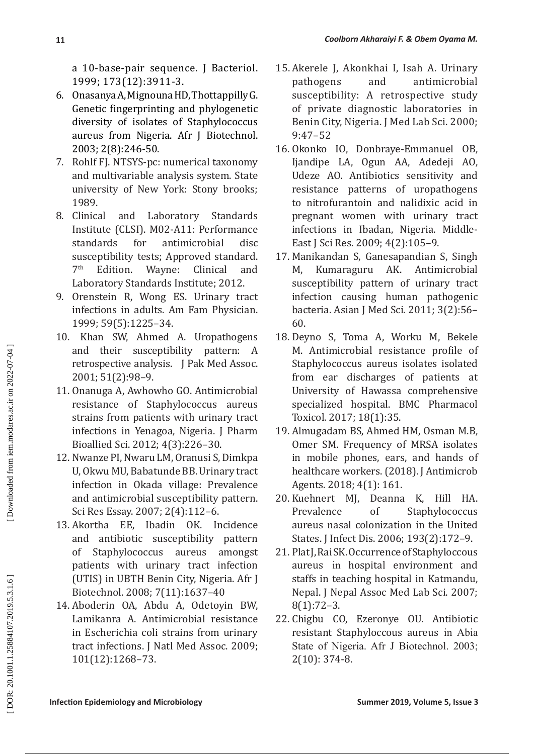a 10 -base -pair sequence. J Bacteriol. 1999; 173(12):3911 -3.

- 6. Onasanya A, Mignouna HD, Thottappilly G. Genetic fingerprinting and phylogenetic diversity of isolates of Staphylococcus aureus from Nigeria. Afr J Biotechnol. 2003; 2(8):246 -50.
- 7. Rohlf FJ. NTSYS -pc: numerical taxonomy and multivariable analysis system. State university of New York: Stony brooks; 1989.
- 8. Clinical and Laboratory Standards Institute (CLSI). M02 -A11: Performance standards for antimicrobial disc susceptibility tests; Approved standard.<br>7<sup>th</sup> Edition. Wayne: Clinical and Laboratory Standards Institute; 2012.
- 9. Orenstein R, Wong ES. Urinary tract infections in adults. Am Fam Physician. 1999; 59(5):1225–34.
- 10. Khan SW, Ahmed A. Uropathogens and their susceptibility pattern: A retrospective analysis. J Pak Med Assoc. 2001; 51(2):98–9.
- 11. Onanuga A, Awhowho GO. Antimicrobial resistance of Staphylococcus aureus strains from patients with urinary tract infections in Yenagoa, Nigeria. J Pharm Bioallied Sci. 2012; 4(3):226–30.
- 12. Nwanze PI, Nwaru LM, Oranusi S, Dimkpa U, Okwu MU, Babatunde BB. Urinary tract infection in Okada village: Prevalence and antimicrobial susceptibility pattern. Sci Res Essay. 2007; 2(4):112-6.<br>13. Akortha EE. Ibadin OK. Ir
- EE, Ibadin OK. Incidence and antibiotic susceptibility pattern of Staphylococcus aureus amongst patients with urinary tract infection (UTIS) in UBTH Benin City, Nigeria. Afr J Biotechnol. 2008; 7(11):1637–40
- 14. Aboderin OA, Abdu A, Odetoyin BW, Lamikanra A. Antimicrobial resistance in Escherichia coli strains from urinary tract infections. J Natl Med Assoc. 2009; 101(12):1268–73.
- 15.Akerele J, Akonkhai I, Isah A. Urinary pathogens and antimicrobial susceptibility: A retrospective study of private diagnostic laboratories in Benin City, Nigeria. J Med Lab Sci. 2000; 9:47–52
- 16. Okonko IO, Donbraye -Emmanuel OB, Ijandipe LA, Ogun AA, Adedeji AO, Udeze AO. Antibiotics sensitivity and resistance patterns of uropathogens to nitrofurantoin and nalidixic acid in pregnant women with urinary tract infections in Ibadan, Nigeria. Middle -East J Sci Res. 2009; 4(2):105–9.
- 17. Manikandan S, Ganesapandian S, Singh Kumaraguru AK. Antimicrobial susceptibility pattern of urinary tract infection causing human pathogenic bacteria. Asian J Med Sci. 2011; 3(2):56– 60.
- 18. Deyno S, Toma A, Worku M, Bekele M. Antimicrobial resistance profile of Staphylococcus aureus isolates isolated from ear discharges of patients at University of Hawassa comprehensive specialized hospital. BMC Pharmacol Toxicol. 2017; 18(1):35.
- 19. Almugadam BS, Ahmed HM, Osman M.B, Omer SM. Frequency of MRSA isolates in mobile phones, ears, and hands of healthcare workers. (2018). J Antimicrob
- Agents. 2018; 4(1): 161.<br>20. Kuehnert MI. Deanna Kuehnert MJ, Deanna K, Hill HA.<br>Prevalence of Stanhylococcus of Staphylococcus aureus nasal colonization in the United States. J Infect Dis. 2006; 193(2):172–9.
- 21. Plat J, Rai SK. Occurrence of Staphyloccous aureus in hospital environment and staffs in teaching hospital in Katmandu, Nepal. J Nepal Assoc Med Lab Sci. 2007; 8(1):72–3.
- 22. Chigbu CO, Ezeronye OU. Antibiotic resistant Staphyloccous aureus in Abia State of Nigeria. Afr J Biotechnol. 2003; 2(10): 374 -8.